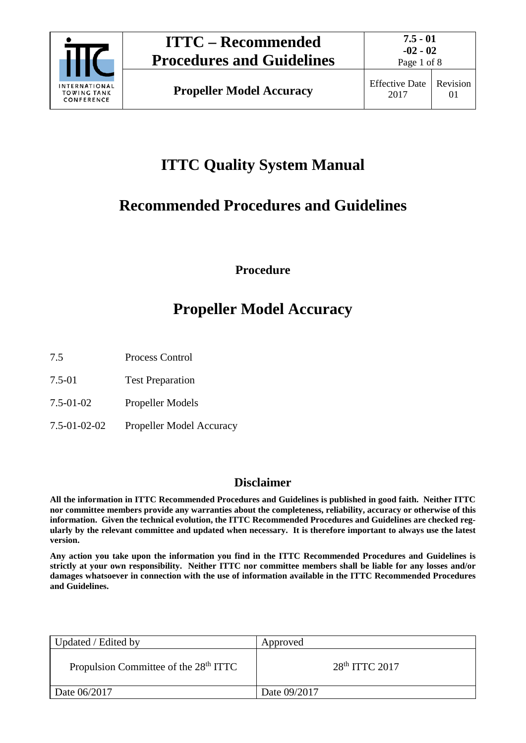

Page 1 of 8

# **ITTC Quality System Manual**

## **Recommended Procedures and Guidelines**

**Procedure**

# **Propeller Model Accuracy**

7.5 Process Control

- 7.5-01 Test Preparation
- 7.5-01-02 Propeller Models
- 7.5-01-02-02 Propeller Model Accuracy

### **Disclaimer**

**All the information in ITTC Recommended Procedures and Guidelines is published in good faith. Neither ITTC nor committee members provide any warranties about the completeness, reliability, accuracy or otherwise of this information. Given the technical evolution, the ITTC Recommended Procedures and Guidelines are checked regularly by the relevant committee and updated when necessary. It is therefore important to always use the latest version.**

**Any action you take upon the information you find in the ITTC Recommended Procedures and Guidelines is strictly at your own responsibility. Neither ITTC nor committee members shall be liable for any losses and/or damages whatsoever in connection with the use of information available in the ITTC Recommended Procedures and Guidelines.**

| Updated / Edited by                               | Approved           |
|---------------------------------------------------|--------------------|
| Propulsion Committee of the 28 <sup>th</sup> ITTC | $28th$ ITTC $2017$ |
| Date 06/2017                                      | Date 09/2017       |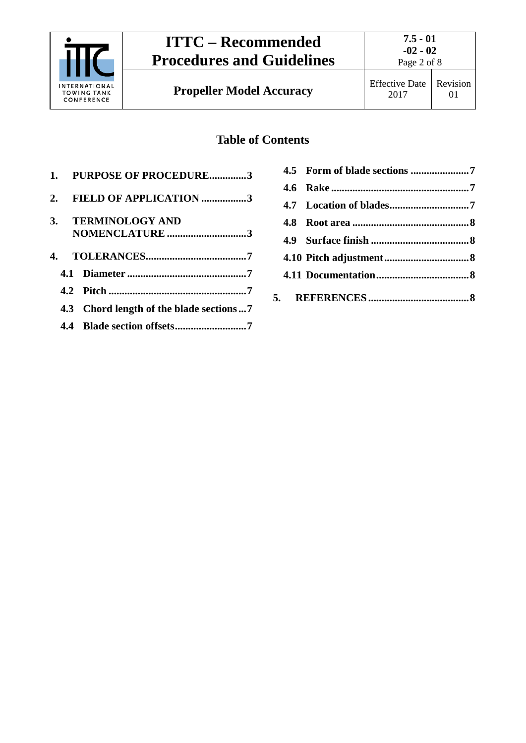

**Propeller Model Accuracy** Effective Date

### **Table of Contents**

|  | 1. PURPOSE OF PROCEDURE3                |
|--|-----------------------------------------|
|  | 2. FIELD OF APPLICATION 3               |
|  | 3. TERMINOLOGY AND                      |
|  | NOMENCLATURE 3                          |
|  |                                         |
|  |                                         |
|  |                                         |
|  | 4.3 Chord length of the blade sections7 |
|  |                                         |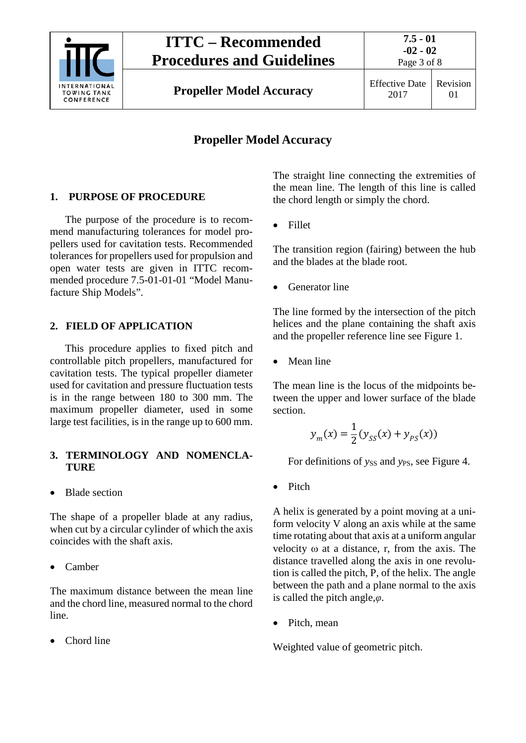

**Propeller Model Accuracy** Effective Date

2017 Revision 01

### **Propeller Model Accuracy**

#### <span id="page-2-0"></span>**1. PURPOSE OF PROCEDURE**

The purpose of the procedure is to recommend manufacturing tolerances for model propellers used for cavitation tests. Recommended tolerances for propellers used for propulsion and open water tests are given in ITTC recommended procedure 7.5-01-01-01 "Model Manufacture Ship Models".

#### <span id="page-2-1"></span>**2. FIELD OF APPLICATION**

This procedure applies to fixed pitch and controllable pitch propellers, manufactured for cavitation tests. The typical propeller diameter used for cavitation and pressure fluctuation tests is in the range between 180 to 300 mm. The maximum propeller diameter, used in some large test facilities, is in the range up to 600 mm.

#### <span id="page-2-2"></span>**3. TERMINOLOGY AND NOMENCLA-TURE**

• Blade section

The shape of a propeller blade at any radius, when cut by a circular cylinder of which the axis coincides with the shaft axis.

• Camber

The maximum distance between the mean line and the chord line, measured normal to the chord line.

• Chord line

The straight line connecting the extremities of the mean line. The length of this line is called the chord length or simply the chord.

• Fillet

The transition region (fairing) between the hub and the blades at the blade root.

Generator line

The line formed by the intersection of the pitch helices and the plane containing the shaft axis and the propeller reference line see Figure 1.

• Mean line

The mean line is the locus of the midpoints between the upper and lower surface of the blade section.

$$
y_m(x) = \frac{1}{2} (y_{SS}(x) + y_{PS}(x))
$$

For definitions of *yss* and *yps*, see Figure 4.

• Pitch

A helix is generated by a point moving at a uniform velocity V along an axis while at the same time rotating about that axis at a uniform angular velocity  $\omega$  at a distance, r, from the axis. The distance travelled along the axis in one revolution is called the pitch, P, of the helix. The angle between the path and a plane normal to the axis is called the pitch angle,*φ*.

• Pitch, mean

Weighted value of geometric pitch.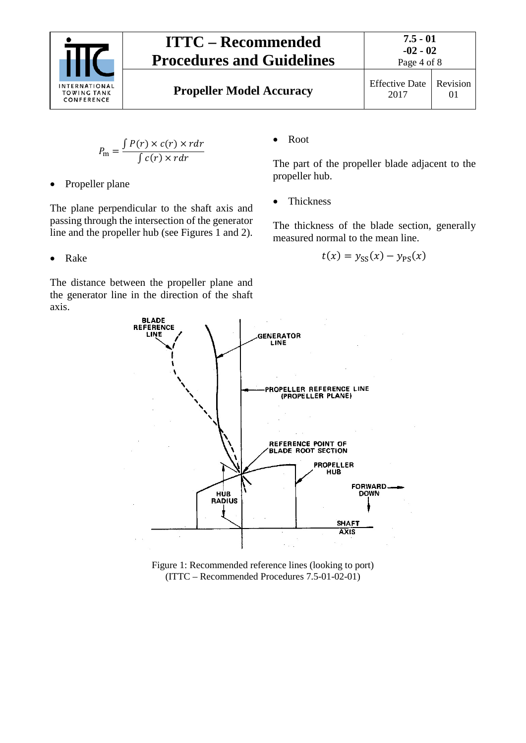

# **ITTC – Recommended Procedures and Guidelines**

$$
P_{\rm m} = \frac{\int P(r) \times c(r) \times r dr}{\int c(r) \times r dr}
$$

• Propeller plane

The plane perpendicular to the shaft axis and passing through the intersection of the generator line and the propeller hub (see Figures 1 and 2).

• Root

The part of the propeller blade adjacent to the propeller hub.

• Thickness

The thickness of the blade section, generally measured normal to the mean line.

$$
t(x) = y_{SS}(x) - y_{PS}(x)
$$

• Rake

The distance between the propeller plane and the generator line in the direction of the shaft axis.



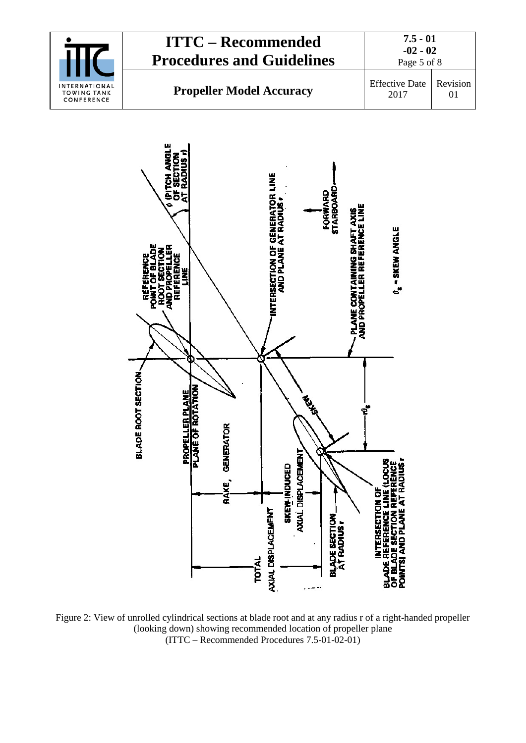



Figure 2: View of unrolled cylindrical sections at blade root and at any radius r of a right-handed propeller (looking down) showing recommended location of propeller plane (ITTC – Recommended Procedures 7.5-01-02-01)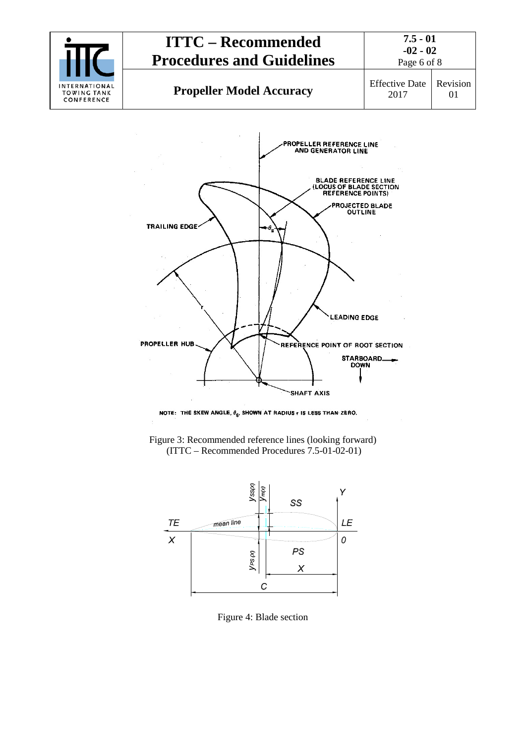









Figure 4: Blade section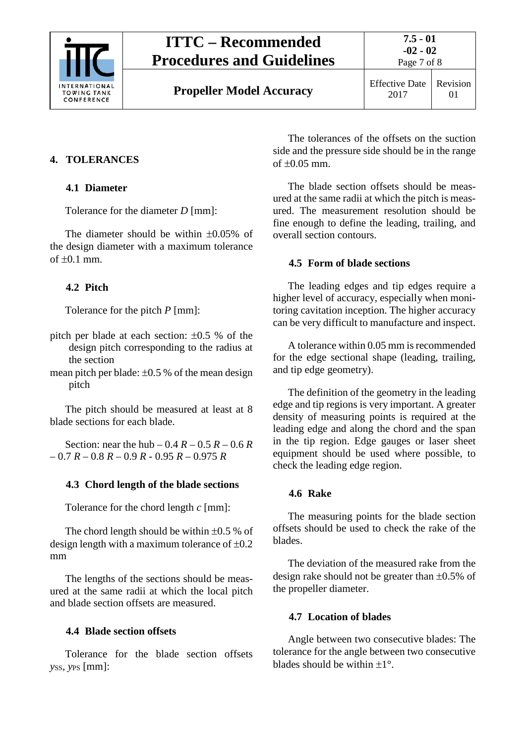

# **ITTC – Recommended Procedures and Guidelines**

### <span id="page-6-1"></span><span id="page-6-0"></span>**4. TOLERANCES**

#### **4.1 Diameter**

Tolerance for the diameter *D* [mm]:

The diameter should be within ±0.05% of the design diameter with a maximum tolerance of  $\pm 0.1$  mm.

### <span id="page-6-2"></span>**4.2 Pitch**

Tolerance for the pitch *P* [mm]:

- pitch per blade at each section: ±0.5 % of the design pitch corresponding to the radius at the section
- mean pitch per blade:  $\pm 0.5$  % of the mean design pitch

The pitch should be measured at least at 8 blade sections for each blade.

<span id="page-6-3"></span>Section: near the hub –  $0.4 R - 0.5 R - 0.6 R$ – 0.7 *R* – 0.8 *R* – 0.9 *R* - 0.95 *R* – 0.975 *R*

### **4.3 Chord length of the blade sections**

Tolerance for the chord length *c* [mm]:

The chord length should be within  $\pm 0.5$  % of design length with a maximum tolerance of  $\pm 0.2$ mm

The lengths of the sections should be measured at the same radii at which the local pitch and blade section offsets are measured.

### <span id="page-6-4"></span>**4.4 Blade section offsets**

Tolerance for the blade section offsets *yss, yps* [mm]:

The tolerances of the offsets on the suction side and the pressure side should be in the range of ±0.05 mm.

The blade section offsets should be measured at the same radii at which the pitch is measured. The measurement resolution should be fine enough to define the leading, trailing, and overall section contours.

#### <span id="page-6-5"></span>**4.5 Form of blade sections**

The leading edges and tip edges require a higher level of accuracy, especially when monitoring cavitation inception. The higher accuracy can be very difficult to manufacture and inspect.

A tolerance within 0.05 mm is recommended for the edge sectional shape (leading, trailing, and tip edge geometry).

The definition of the geometry in the leading edge and tip regions is very important. A greater density of measuring points is required at the leading edge and along the chord and the span in the tip region. Edge gauges or laser sheet equipment should be used where possible, to check the leading edge region.

#### <span id="page-6-6"></span>**4.6 Rake**

The measuring points for the blade section offsets should be used to check the rake of the blades.

The deviation of the measured rake from the design rake should not be greater than  $\pm 0.5\%$  of the propeller diameter.

### <span id="page-6-7"></span>**4.7 Location of blades**

Angle between two consecutive blades: The tolerance for the angle between two consecutive blades should be within  $+1^\circ$ .